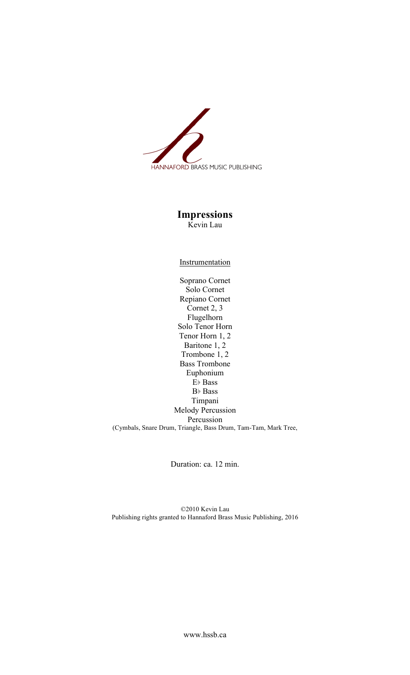

## **Impressions** Kevin Lau

## **Instrumentation**

Soprano Cornet Solo Cornet Repiano Cornet Cornet 2, 3 Flugelhorn Solo Tenor Horn Tenor Horn 1, 2 Baritone 1, 2 Trombone 1, 2 Bass Trombone Euphonium E♭ Bass B♭ Bass Timpani Melody Percussion Percussion (Cymbals, Snare Drum, Triangle, Bass Drum, Tam-Tam, Mark Tree,

Duration: ca. 12 min.

©2010 Kevin Lau Publishing rights granted to Hannaford Brass Music Publishing, 2016